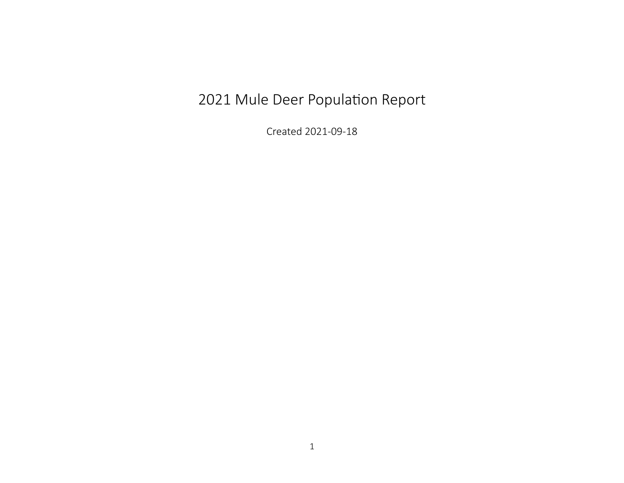## 2021 Mule Deer Population Report

Created 2021-09-18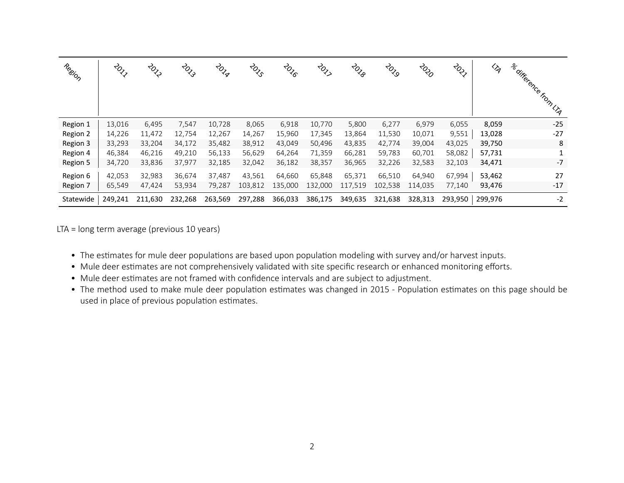| Region    | $\stackrel{\rightarrow}{\sim}_{\sim}$ | ক্তৃ    | $\stackrel{2}{\sim}$ | <b>2014</b> | $\stackrel{\rightarrow}{\sim}_\zeta$ | <b>ZOZE</b> | $\stackrel{<}{\sim}$ | <b>z</b> ozo | $\phi_{\rm c}$ | <b>z</b> os | $\phi$ ್ಧ | $\mathrel{\mathrel{\triangle}_q}$ | a difference from U.A. |
|-----------|---------------------------------------|---------|----------------------|-------------|--------------------------------------|-------------|----------------------|--------------|----------------|-------------|-----------|-----------------------------------|------------------------|
| Region 1  | 13,016                                | 6,495   | 7,547                | 10,728      | 8,065                                | 6,918       | 10,770               | 5,800        | 6,277          | 6,979       | 6,055     | 8,059                             | $-25$                  |
| Region 2  | 14,226                                | 11,472  | 12,754               | 12,267      | 14,267                               | 15,960      | 17,345               | 13,864       | 11,530         | 10,071      | 9,551     | 13,028                            | $-27$                  |
| Region 3  | 33,293                                | 33,204  | 34,172               | 35,482      | 38,912                               | 43,049      | 50,496               | 43,835       | 42,774         | 39,004      | 43,025    | 39,750                            | 8                      |
| Region 4  | 46,384                                | 46,216  | 49,210               | 56,133      | 56,629                               | 64,264      | 71,359               | 66,281       | 59,783         | 60,701      | 58,082    | 57,731                            | 1                      |
| Region 5  | 34,720                                | 33,836  | 37,977               | 32,185      | 32,042                               | 36,182      | 38,357               | 36,965       | 32,226         | 32,583      | 32,103    | 34,471                            | $-7$                   |
| Region 6  | 42,053                                | 32,983  | 36,674               | 37,487      | 43,561                               | 64,660      | 65,848               | 65,371       | 66,510         | 64,940      | 67,994    | 53,462                            | 27                     |
| Region 7  | 65,549                                | 47,424  | 53,934               | 79,287      | 103,812                              | 135,000     | 132,000              | 117,519      | 102,538        | 114,035     | 77,140    | 93,476                            | $-17$                  |
| Statewide | 249,241                               | 211,630 | 232,268              | 263,569     | 297,288                              | 366,033     | 386,175              | 349,635      | 321,638        | 328,313     | 293,950   | 299,976                           | $-2$                   |

LTA = long term average (previous 10 years)

- The estimates for mule deer populations are based upon population modeling with survey and/or harvest inputs.
- Mule deer estimates are not comprehensively validated with site specific research or enhanced monitoring efforts.
- Mule deer estimates are not framed with confidence intervals and are subject to adjustment.
- The method used to make mule deer population estimates was changed in 2015 ‐ Population estimates on this page should be used in place of previous population estimates.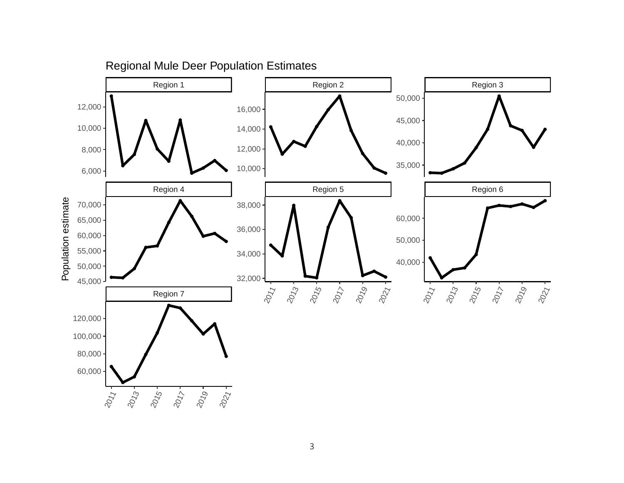